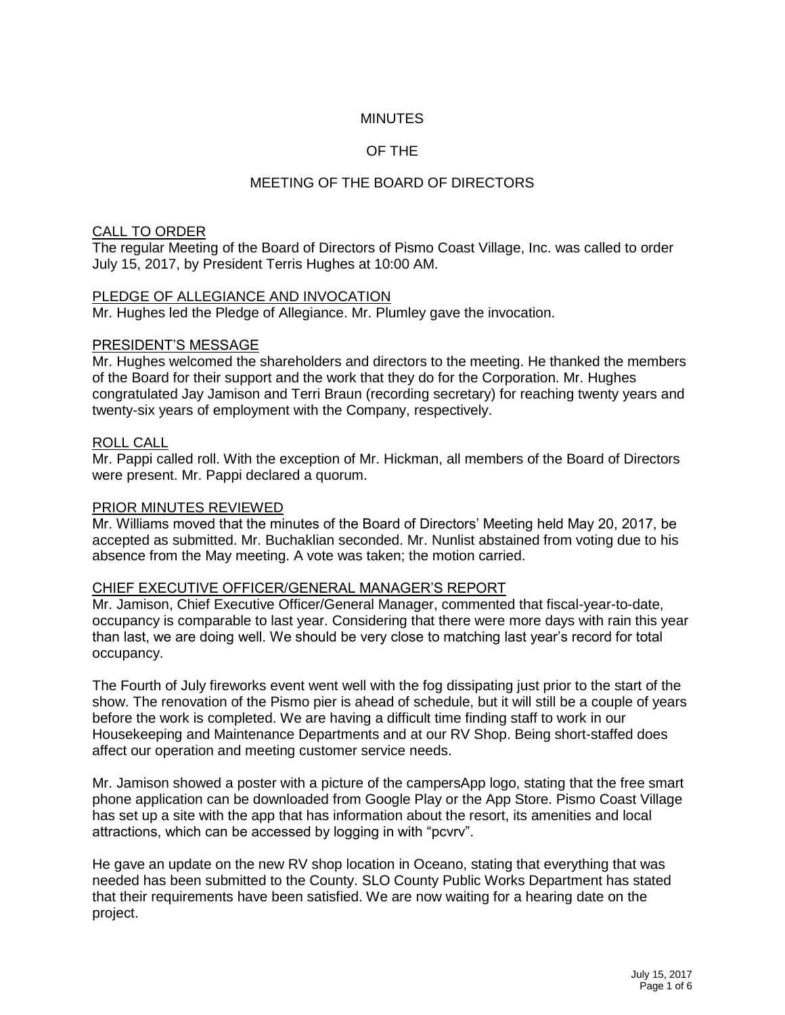## **MINUTES**

## OF THE

## MEETING OF THE BOARD OF DIRECTORS

#### CALL TO ORDER

The regular Meeting of the Board of Directors of Pismo Coast Village, Inc. was called to order July 15, 2017, by President Terris Hughes at 10:00 AM.

#### PLEDGE OF ALLEGIANCE AND INVOCATION

Mr. Hughes led the Pledge of Allegiance. Mr. Plumley gave the invocation.

#### PRESIDENT'S MESSAGE

Mr. Hughes welcomed the shareholders and directors to the meeting. He thanked the members of the Board for their support and the work that they do for the Corporation. Mr. Hughes congratulated Jay Jamison and Terri Braun (recording secretary) for reaching twenty years and twenty-six years of employment with the Company, respectively.

#### ROLL CALL

Mr. Pappi called roll. With the exception of Mr. Hickman, all members of the Board of Directors were present. Mr. Pappi declared a quorum.

#### PRIOR MINUTES REVIEWED

Mr. Williams moved that the minutes of the Board of Directors' Meeting held May 20, 2017, be accepted as submitted. Mr. Buchaklian seconded. Mr. Nunlist abstained from voting due to his absence from the May meeting. A vote was taken; the motion carried.

### CHIEF EXECUTIVE OFFICER/GENERAL MANAGER'S REPORT

Mr. Jamison, Chief Executive Officer/General Manager, commented that fiscal-year-to-date, occupancy is comparable to last year. Considering that there were more days with rain this year than last, we are doing well. We should be very close to matching last year's record for total occupancy.

The Fourth of July fireworks event went well with the fog dissipating just prior to the start of the show. The renovation of the Pismo pier is ahead of schedule, but it will still be a couple of years before the work is completed. We are having a difficult time finding staff to work in our Housekeeping and Maintenance Departments and at our RV Shop. Being short-staffed does affect our operation and meeting customer service needs.

Mr. Jamison showed a poster with a picture of the campersApp logo, stating that the free smart phone application can be downloaded from Google Play or the App Store. Pismo Coast Village has set up a site with the app that has information about the resort, its amenities and local attractions, which can be accessed by logging in with "pcvrv".

He gave an update on the new RV shop location in Oceano, stating that everything that was needed has been submitted to the County. SLO County Public Works Department has stated that their requirements have been satisfied. We are now waiting for a hearing date on the project.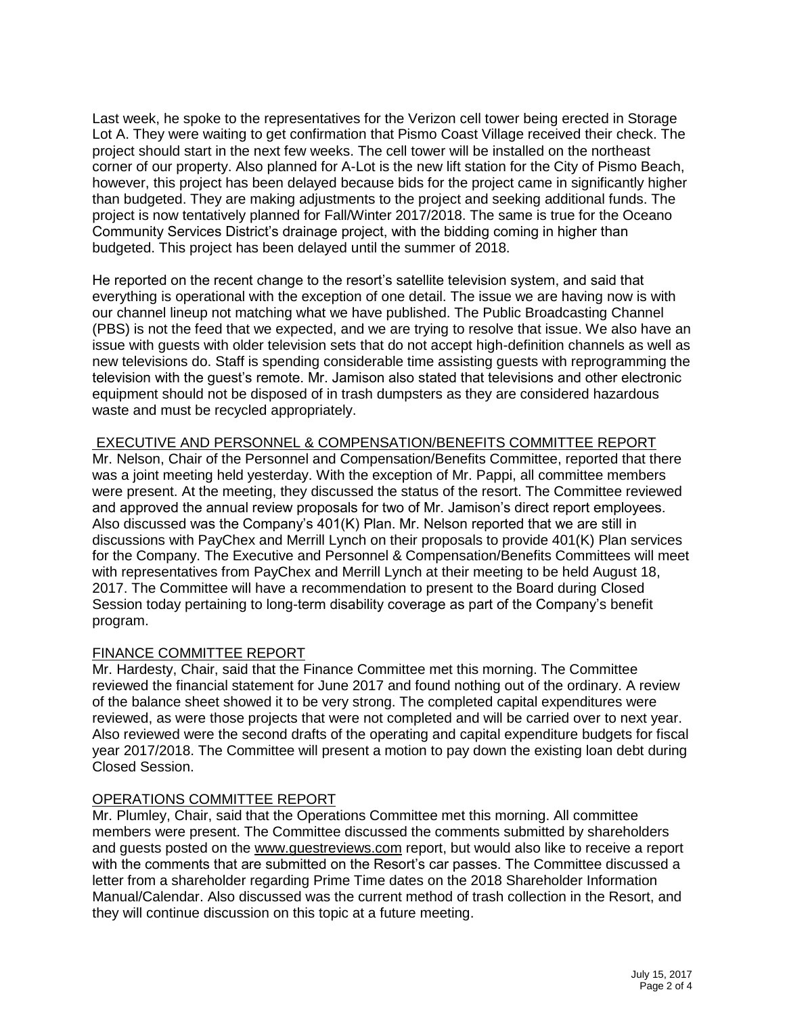Last week, he spoke to the representatives for the Verizon cell tower being erected in Storage Lot A. They were waiting to get confirmation that Pismo Coast Village received their check. The project should start in the next few weeks. The cell tower will be installed on the northeast corner of our property. Also planned for A-Lot is the new lift station for the City of Pismo Beach, however, this project has been delayed because bids for the project came in significantly higher than budgeted. They are making adjustments to the project and seeking additional funds. The project is now tentatively planned for Fall/Winter 2017/2018. The same is true for the Oceano Community Services District's drainage project, with the bidding coming in higher than budgeted. This project has been delayed until the summer of 2018.

He reported on the recent change to the resort's satellite television system, and said that everything is operational with the exception of one detail. The issue we are having now is with our channel lineup not matching what we have published. The Public Broadcasting Channel (PBS) is not the feed that we expected, and we are trying to resolve that issue. We also have an issue with guests with older television sets that do not accept high-definition channels as well as new televisions do. Staff is spending considerable time assisting guests with reprogramming the television with the guest's remote. Mr. Jamison also stated that televisions and other electronic equipment should not be disposed of in trash dumpsters as they are considered hazardous waste and must be recycled appropriately.

### EXECUTIVE AND PERSONNEL & COMPENSATION/BENEFITS COMMITTEE REPORT

Mr. Nelson, Chair of the Personnel and Compensation/Benefits Committee, reported that there was a joint meeting held yesterday. With the exception of Mr. Pappi, all committee members were present. At the meeting, they discussed the status of the resort. The Committee reviewed and approved the annual review proposals for two of Mr. Jamison's direct report employees. Also discussed was the Company's 401(K) Plan. Mr. Nelson reported that we are still in discussions with PayChex and Merrill Lynch on their proposals to provide 401(K) Plan services for the Company. The Executive and Personnel & Compensation/Benefits Committees will meet with representatives from PayChex and Merrill Lynch at their meeting to be held August 18, 2017. The Committee will have a recommendation to present to the Board during Closed Session today pertaining to long-term disability coverage as part of the Company's benefit program.

### FINANCE COMMITTEE REPORT

Mr. Hardesty, Chair, said that the Finance Committee met this morning. The Committee reviewed the financial statement for June 2017 and found nothing out of the ordinary. A review of the balance sheet showed it to be very strong. The completed capital expenditures were reviewed, as were those projects that were not completed and will be carried over to next year. Also reviewed were the second drafts of the operating and capital expenditure budgets for fiscal year 2017/2018. The Committee will present a motion to pay down the existing loan debt during Closed Session.

## OPERATIONS COMMITTEE REPORT

Mr. Plumley, Chair, said that the Operations Committee met this morning. All committee members were present. The Committee discussed the comments submitted by shareholders and guests posted on the [www.guestreviews.com](http://www.guestreviews.com/) report, but would also like to receive a report with the comments that are submitted on the Resort's car passes. The Committee discussed a letter from a shareholder regarding Prime Time dates on the 2018 Shareholder Information Manual/Calendar. Also discussed was the current method of trash collection in the Resort, and they will continue discussion on this topic at a future meeting.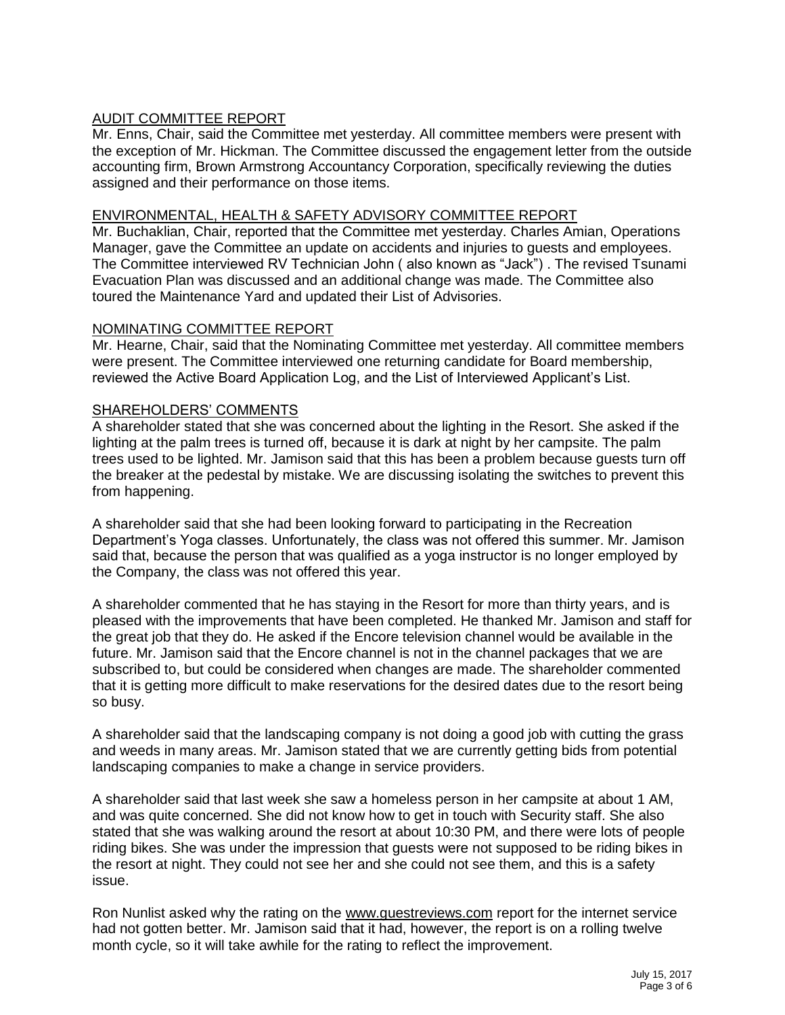# AUDIT COMMITTEE REPORT

Mr. Enns, Chair, said the Committee met yesterday. All committee members were present with the exception of Mr. Hickman. The Committee discussed the engagement letter from the outside accounting firm, Brown Armstrong Accountancy Corporation, specifically reviewing the duties assigned and their performance on those items.

## ENVIRONMENTAL, HEALTH & SAFETY ADVISORY COMMITTEE REPORT

Mr. Buchaklian, Chair, reported that the Committee met yesterday. Charles Amian, Operations Manager, gave the Committee an update on accidents and injuries to guests and employees. The Committee interviewed RV Technician John ( also known as "Jack") . The revised Tsunami Evacuation Plan was discussed and an additional change was made. The Committee also toured the Maintenance Yard and updated their List of Advisories.

### NOMINATING COMMITTEE REPORT

Mr. Hearne, Chair, said that the Nominating Committee met yesterday. All committee members were present. The Committee interviewed one returning candidate for Board membership, reviewed the Active Board Application Log, and the List of Interviewed Applicant's List.

### SHAREHOLDERS' COMMENTS

A shareholder stated that she was concerned about the lighting in the Resort. She asked if the lighting at the palm trees is turned off, because it is dark at night by her campsite. The palm trees used to be lighted. Mr. Jamison said that this has been a problem because guests turn off the breaker at the pedestal by mistake. We are discussing isolating the switches to prevent this from happening.

A shareholder said that she had been looking forward to participating in the Recreation Department's Yoga classes. Unfortunately, the class was not offered this summer. Mr. Jamison said that, because the person that was qualified as a yoga instructor is no longer employed by the Company, the class was not offered this year.

A shareholder commented that he has staying in the Resort for more than thirty years, and is pleased with the improvements that have been completed. He thanked Mr. Jamison and staff for the great job that they do. He asked if the Encore television channel would be available in the future. Mr. Jamison said that the Encore channel is not in the channel packages that we are subscribed to, but could be considered when changes are made. The shareholder commented that it is getting more difficult to make reservations for the desired dates due to the resort being so busy.

A shareholder said that the landscaping company is not doing a good job with cutting the grass and weeds in many areas. Mr. Jamison stated that we are currently getting bids from potential landscaping companies to make a change in service providers.

A shareholder said that last week she saw a homeless person in her campsite at about 1 AM, and was quite concerned. She did not know how to get in touch with Security staff. She also stated that she was walking around the resort at about 10:30 PM, and there were lots of people riding bikes. She was under the impression that guests were not supposed to be riding bikes in the resort at night. They could not see her and she could not see them, and this is a safety issue.

Ron Nunlist asked why the rating on the [www.guestreviews.com](http://www.guestreviews.com/) report for the internet service had not gotten better. Mr. Jamison said that it had, however, the report is on a rolling twelve month cycle, so it will take awhile for the rating to reflect the improvement.